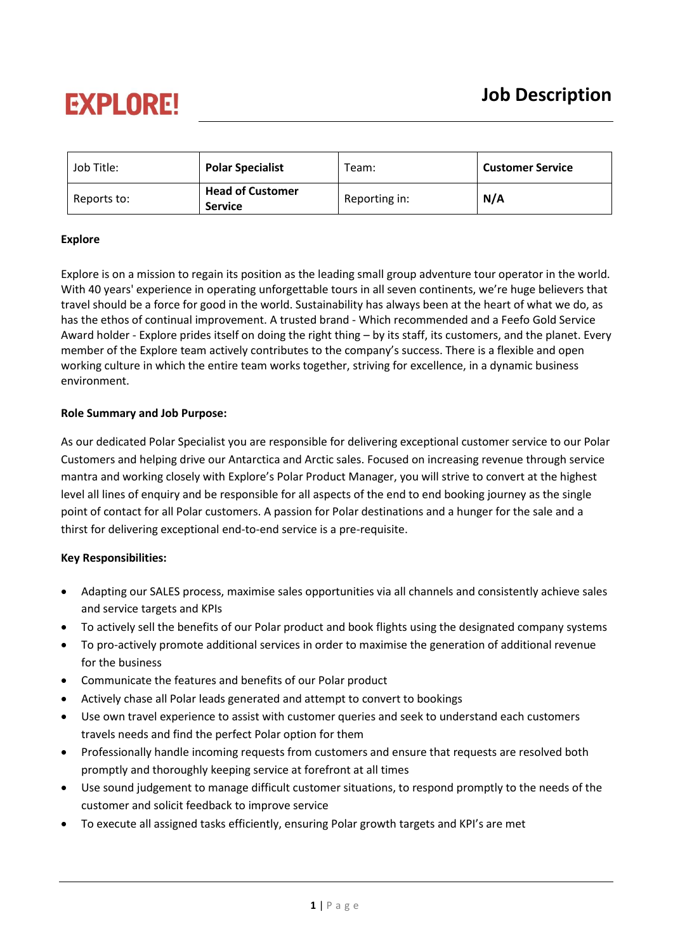## **EXPLORE!**

| Job Title:  | <b>Polar Specialist</b>                   | Team:         | <b>Customer Service</b> |
|-------------|-------------------------------------------|---------------|-------------------------|
| Reports to: | <b>Head of Customer</b><br><b>Service</b> | Reporting in: | N/A                     |

#### **Explore**

Explore is on a mission to regain its position as the leading small group adventure tour operator in the world. With 40 years' experience in operating unforgettable tours in all seven continents, we're huge believers that travel should be a force for good in the world. Sustainability has always been at the heart of what we do, as has the ethos of continual improvement. A trusted brand - Which recommended and a Feefo Gold Service Award holder - Explore prides itself on doing the right thing – by its staff, its customers, and the planet. Every member of the Explore team actively contributes to the company's success. There is a flexible and open working culture in which the entire team works together, striving for excellence, in a dynamic business environment.

### **Role Summary and Job Purpose:**

As our dedicated Polar Specialist you are responsible for delivering exceptional customer service to our Polar Customers and helping drive our Antarctica and Arctic sales. Focused on increasing revenue through service mantra and working closely with Explore's Polar Product Manager, you will strive to convert at the highest level all lines of enquiry and be responsible for all aspects of the end to end booking journey as the single point of contact for all Polar customers. A passion for Polar destinations and a hunger for the sale and a thirst for delivering exceptional end-to-end service is a pre-requisite.

#### **Key Responsibilities:**

- Adapting our SALES process, maximise sales opportunities via all channels and consistently achieve sales and service targets and KPIs
- To actively sell the benefits of our Polar product and book flights using the designated company systems
- To pro-actively promote additional services in order to maximise the generation of additional revenue for the business
- Communicate the features and benefits of our Polar product
- Actively chase all Polar leads generated and attempt to convert to bookings
- Use own travel experience to assist with customer queries and seek to understand each customers travels needs and find the perfect Polar option for them
- Professionally handle incoming requests from customers and ensure that requests are resolved both promptly and thoroughly keeping service at forefront at all times
- Use sound judgement to manage difficult customer situations, to respond promptly to the needs of the customer and solicit feedback to improve service
- To execute all assigned tasks efficiently, ensuring Polar growth targets and KPI's are met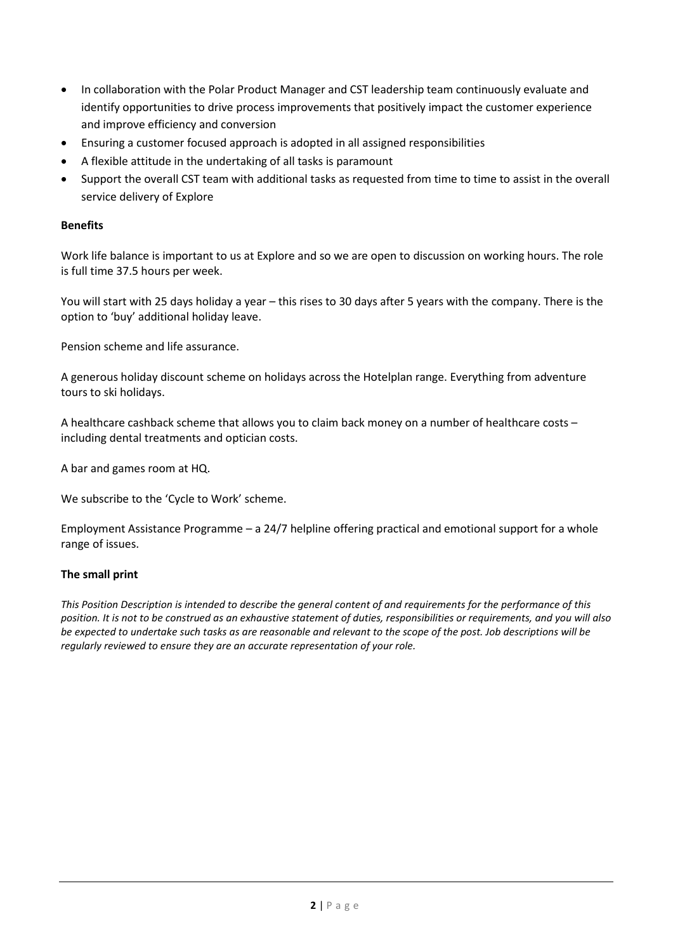- In collaboration with the Polar Product Manager and CST leadership team continuously evaluate and identify opportunities to drive process improvements that positively impact the customer experience and improve efficiency and conversion
- Ensuring a customer focused approach is adopted in all assigned responsibilities
- A flexible attitude in the undertaking of all tasks is paramount
- Support the overall CST team with additional tasks as requested from time to time to assist in the overall service delivery of Explore

#### **Benefits**

Work life balance is important to us at Explore and so we are open to discussion on working hours. The role is full time 37.5 hours per week.

You will start with 25 days holiday a year – this rises to 30 days after 5 years with the company. There is the option to 'buy' additional holiday leave.

Pension scheme and life assurance.

A generous holiday discount scheme on holidays across the Hotelplan range. Everything from adventure tours to ski holidays.

A healthcare cashback scheme that allows you to claim back money on a number of healthcare costs – including dental treatments and optician costs.

A bar and games room at HQ.

We subscribe to the 'Cycle to Work' scheme.

Employment Assistance Programme – a 24/7 helpline offering practical and emotional support for a whole range of issues.

#### **The small print**

*This Position Description is intended to describe the general content of and requirements for the performance of this position. It is not to be construed as an exhaustive statement of duties, responsibilities or requirements, and you will also be expected to undertake such tasks as are reasonable and relevant to the scope of the post. Job descriptions will be regularly reviewed to ensure they are an accurate representation of your role.*